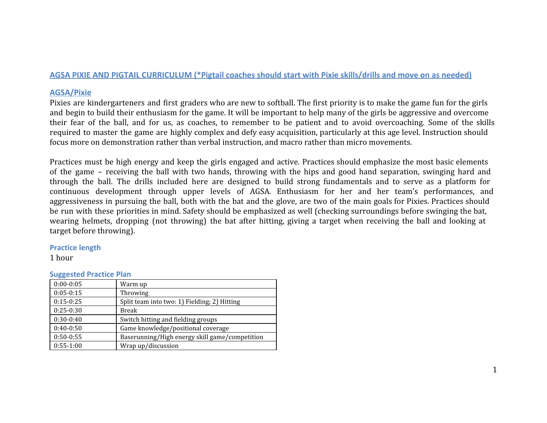#### AGSA PIXIE AND PIGTAIL CURRICULUM (\*Pigtail coaches should start with Pixie skills/drills and move on as needed)

#### **AGSA/Pixie**

Pixies are kindergarteners and first graders who are new to softball. The first priority is to make the game fun for the girls and begin to build their enthusiasm for the game. It will be important to help many of the girls be aggressive and overcome their fear of the ball, and for us, as coaches, to remember to be patient and to avoid overcoaching. Some of the skills required to master the game are highly complex and defy easy acquisition, particularly at this age level. Instruction should focus more on demonstration rather than verbal instruction, and macro rather than micro movements.

Practices must be high energy and keep the girls engaged and active. Practices should emphasize the most basic elements of the game – receiving the ball with two hands, throwing with the hips and good hand separation, swinging hard and through the ball. The drills included here are designed to build strong fundamentals and to serve as a platform for continuous development through upper levels of AGSA. Enthusiasm for her and her team's performances, and aggressiveness in pursuing the ball, both with the bat and the glove, are two of the main goals for Pixies. Practices should be run with these priorities in mind. Safety should be emphasized as well (checking surroundings before swinging the bat, wearing helmets, dropping (not throwing) the bat after hitting, giving a target when receiving the ball and looking at target before throwing).

#### **Practice length**

1 hour

#### **Suggested Practice Plan**

| $0:00-0:05$ | Warm up                                        |
|-------------|------------------------------------------------|
| $0:05-0:15$ | Throwing                                       |
| $0:15-0:25$ | Split team into two: 1) Fielding; 2) Hitting   |
| $0:25-0:30$ | <b>Break</b>                                   |
| $0:30-0:40$ | Switch hitting and fielding groups             |
| $0:40-0:50$ | Game knowledge/positional coverage             |
| $0:50-0:55$ | Baserunning/High energy skill game/competition |
| $0:55-1:00$ | Wrap up/discussion                             |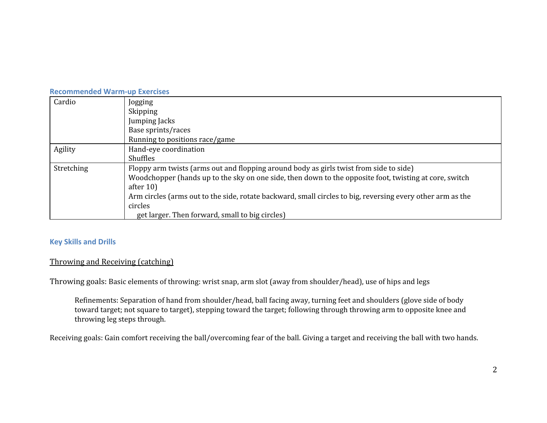|            | <b>Recommended Warm-up Exercises</b>                                                                       |  |  |
|------------|------------------------------------------------------------------------------------------------------------|--|--|
| Cardio     | Jogging                                                                                                    |  |  |
|            | Skipping                                                                                                   |  |  |
|            | Jumping Jacks                                                                                              |  |  |
|            | Base sprints/races                                                                                         |  |  |
|            | Running to positions race/game                                                                             |  |  |
| Agility    | Hand-eye coordination                                                                                      |  |  |
|            | <b>Shuffles</b>                                                                                            |  |  |
| Stretching | Floppy arm twists (arms out and flopping around body as girls twist from side to side)                     |  |  |
|            | Woodchopper (hands up to the sky on one side, then down to the opposite foot, twisting at core, switch     |  |  |
|            | after $10$ )                                                                                               |  |  |
|            | Arm circles (arms out to the side, rotate backward, small circles to big, reversing every other arm as the |  |  |
|            | circles                                                                                                    |  |  |
|            | get larger. Then forward, small to big circles)                                                            |  |  |

### **Key Skills and Drills**

## Throwing and Receiving (catching)

Throwing goals: Basic elements of throwing: wrist snap, arm slot (away from shoulder/head), use of hips and legs

Refinements: Separation of hand from shoulder/head, ball facing away, turning feet and shoulders (glove side of body toward target; not square to target), stepping toward the target; following through throwing arm to opposite knee and throwing leg steps through.

Receiving goals: Gain comfort receiving the ball/overcoming fear of the ball. Giving a target and receiving the ball with two hands.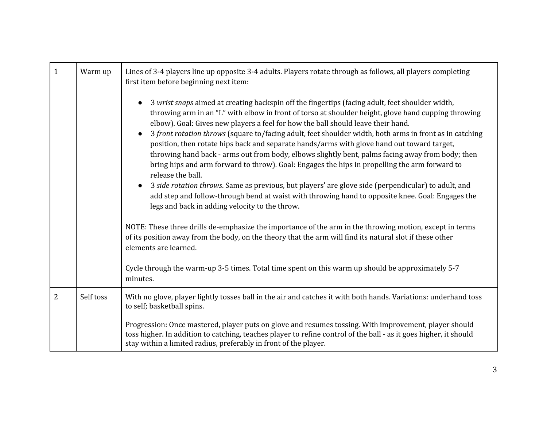| $\mathbf{1}$ | Warm up   | Lines of 3-4 players line up opposite 3-4 adults. Players rotate through as follows, all players completing<br>first item before beginning next item:                                                                                                                                                                                                                                                                                                                                                                                                                                                                                                                                                                                                                                                                                                                                                                                                                                      |
|--------------|-----------|--------------------------------------------------------------------------------------------------------------------------------------------------------------------------------------------------------------------------------------------------------------------------------------------------------------------------------------------------------------------------------------------------------------------------------------------------------------------------------------------------------------------------------------------------------------------------------------------------------------------------------------------------------------------------------------------------------------------------------------------------------------------------------------------------------------------------------------------------------------------------------------------------------------------------------------------------------------------------------------------|
|              |           | 3 wrist snaps aimed at creating backspin off the fingertips (facing adult, feet shoulder width,<br>throwing arm in an "L" with elbow in front of torso at shoulder height, glove hand cupping throwing<br>elbow). Goal: Gives new players a feel for how the ball should leave their hand.<br>3 front rotation throws (square to/facing adult, feet shoulder width, both arms in front as in catching<br>position, then rotate hips back and separate hands/arms with glove hand out toward target,<br>throwing hand back - arms out from body, elbows slightly bent, palms facing away from body; then<br>bring hips and arm forward to throw). Goal: Engages the hips in propelling the arm forward to<br>release the ball.<br>3 side rotation throws. Same as previous, but players' are glove side (perpendicular) to adult, and<br>add step and follow-through bend at waist with throwing hand to opposite knee. Goal: Engages the<br>legs and back in adding velocity to the throw. |
|              |           | NOTE: These three drills de-emphasize the importance of the arm in the throwing motion, except in terms<br>of its position away from the body, on the theory that the arm will find its natural slot if these other<br>elements are learned.<br>Cycle through the warm-up 3-5 times. Total time spent on this warm up should be approximately 5-7<br>minutes.                                                                                                                                                                                                                                                                                                                                                                                                                                                                                                                                                                                                                              |
| 2            | Self toss | With no glove, player lightly tosses ball in the air and catches it with both hands. Variations: underhand toss                                                                                                                                                                                                                                                                                                                                                                                                                                                                                                                                                                                                                                                                                                                                                                                                                                                                            |
|              |           | to self; basketball spins.<br>Progression: Once mastered, player puts on glove and resumes tossing. With improvement, player should<br>toss higher. In addition to catching, teaches player to refine control of the ball - as it goes higher, it should<br>stay within a limited radius, preferably in front of the player.                                                                                                                                                                                                                                                                                                                                                                                                                                                                                                                                                                                                                                                               |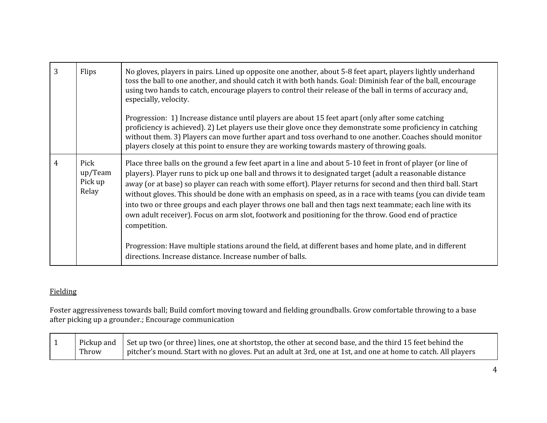| 3 | Flips                               | No gloves, players in pairs. Lined up opposite one another, about 5-8 feet apart, players lightly underhand<br>toss the ball to one another, and should catch it with both hands. Goal: Diminish fear of the ball, encourage<br>using two hands to catch, encourage players to control their release of the ball in terms of accuracy and,<br>especially, velocity.                                                                                                                                                                                                                                                                                                                            |
|---|-------------------------------------|------------------------------------------------------------------------------------------------------------------------------------------------------------------------------------------------------------------------------------------------------------------------------------------------------------------------------------------------------------------------------------------------------------------------------------------------------------------------------------------------------------------------------------------------------------------------------------------------------------------------------------------------------------------------------------------------|
|   |                                     | Progression: 1) Increase distance until players are about 15 feet apart (only after some catching<br>proficiency is achieved). 2) Let players use their glove once they demonstrate some proficiency in catching<br>without them. 3) Players can move further apart and toss overhand to one another. Coaches should monitor<br>players closely at this point to ensure they are working towards mastery of throwing goals.                                                                                                                                                                                                                                                                    |
| 4 | Pick<br>up/Team<br>Pick up<br>Relay | Place three balls on the ground a few feet apart in a line and about 5-10 feet in front of player (or line of<br>players). Player runs to pick up one ball and throws it to designated target (adult a reasonable distance<br>away (or at base) so player can reach with some effort). Player returns for second and then third ball. Start<br>without gloves. This should be done with an emphasis on speed, as in a race with teams (you can divide team<br>into two or three groups and each player throws one ball and then tags next teammate; each line with its<br>own adult receiver). Focus on arm slot, footwork and positioning for the throw. Good end of practice<br>competition. |
|   |                                     | Progression: Have multiple stations around the field, at different bases and home plate, and in different<br>directions. Increase distance. Increase number of balls.                                                                                                                                                                                                                                                                                                                                                                                                                                                                                                                          |

# Fielding

Foster aggressiveness towards ball; Build comfort moving toward and fielding groundballs. Grow comfortable throwing to a base after picking up a grounder.; Encourage communication

|       | $\parallel$ Pickup and $\parallel$ Set up two (or three) lines, one at shortstop, the other at second base, and the third 15 feet behind the |
|-------|----------------------------------------------------------------------------------------------------------------------------------------------|
| Throw | pitcher's mound. Start with no gloves. Put an adult at 3rd, one at 1st, and one at home to catch. All players                                |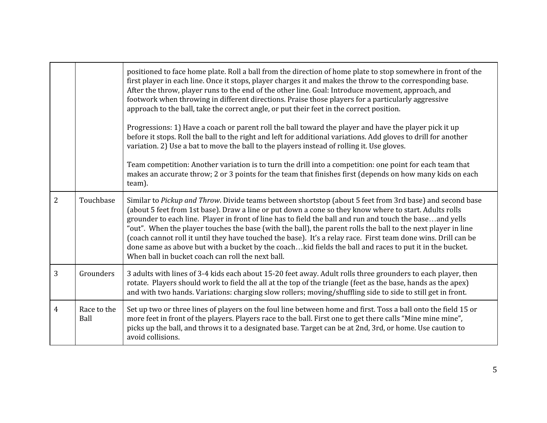|   |                     | positioned to face home plate. Roll a ball from the direction of home plate to stop somewhere in front of the<br>first player in each line. Once it stops, player charges it and makes the throw to the corresponding base.<br>After the throw, player runs to the end of the other line. Goal: Introduce movement, approach, and<br>footwork when throwing in different directions. Praise those players for a particularly aggressive<br>approach to the ball, take the correct angle, or put their feet in the correct position.<br>Progressions: 1) Have a coach or parent roll the ball toward the player and have the player pick it up<br>before it stops. Roll the ball to the right and left for additional variations. Add gloves to drill for another<br>variation. 2) Use a bat to move the ball to the players instead of rolling it. Use gloves.<br>Team competition: Another variation is to turn the drill into a competition: one point for each team that<br>makes an accurate throw; 2 or 3 points for the team that finishes first (depends on how many kids on each<br>team). |
|---|---------------------|----------------------------------------------------------------------------------------------------------------------------------------------------------------------------------------------------------------------------------------------------------------------------------------------------------------------------------------------------------------------------------------------------------------------------------------------------------------------------------------------------------------------------------------------------------------------------------------------------------------------------------------------------------------------------------------------------------------------------------------------------------------------------------------------------------------------------------------------------------------------------------------------------------------------------------------------------------------------------------------------------------------------------------------------------------------------------------------------------|
| 2 | Touchbase           | Similar to Pickup and Throw. Divide teams between shortstop (about 5 feet from 3rd base) and second base<br>(about 5 feet from 1st base). Draw a line or put down a cone so they know where to start. Adults rolls<br>grounder to each line. Player in front of line has to field the ball and run and touch the baseand yells<br>"out". When the player touches the base (with the ball), the parent rolls the ball to the next player in line<br>(coach cannot roll it until they have touched the base). It's a relay race. First team done wins. Drill can be<br>done same as above but with a bucket by the coachkid fields the ball and races to put it in the bucket.<br>When ball in bucket coach can roll the next ball.                                                                                                                                                                                                                                                                                                                                                                  |
| 3 | Grounders           | 3 adults with lines of 3-4 kids each about 15-20 feet away. Adult rolls three grounders to each player, then<br>rotate. Players should work to field the all at the top of the triangle (feet as the base, hands as the apex)<br>and with two hands. Variations: charging slow rollers; moving/shuffling side to side to still get in front.                                                                                                                                                                                                                                                                                                                                                                                                                                                                                                                                                                                                                                                                                                                                                       |
| 4 | Race to the<br>Ball | Set up two or three lines of players on the foul line between home and first. Toss a ball onto the field 15 or<br>more feet in front of the players. Players race to the ball. First one to get there calls "Mine mine mine",<br>picks up the ball, and throws it to a designated base. Target can be at 2nd, 3rd, or home. Use caution to<br>avoid collisions.                                                                                                                                                                                                                                                                                                                                                                                                                                                                                                                                                                                                                                                                                                                                    |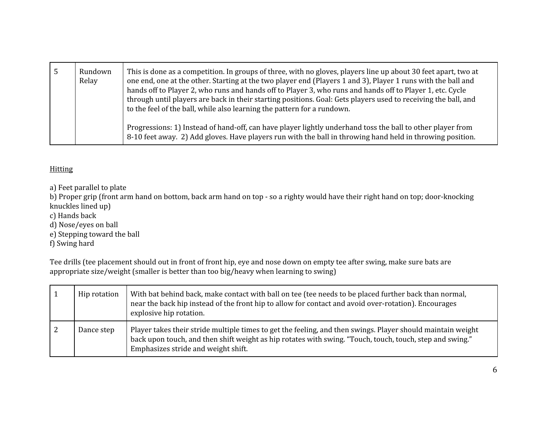| Rundown<br>Relay | This is done as a competition. In groups of three, with no gloves, players line up about 30 feet apart, two at<br>one end, one at the other. Starting at the two player end (Players 1 and 3), Player 1 runs with the ball and<br>hands off to Player 2, who runs and hands off to Player 3, who runs and hands off to Player 1, etc. Cycle<br>through until players are back in their starting positions. Goal: Gets players used to receiving the ball, and<br>to the feel of the ball, while also learning the pattern for a rundown. |
|------------------|------------------------------------------------------------------------------------------------------------------------------------------------------------------------------------------------------------------------------------------------------------------------------------------------------------------------------------------------------------------------------------------------------------------------------------------------------------------------------------------------------------------------------------------|
|                  | Progressions: 1) Instead of hand-off, can have player lightly underhand toss the ball to other player from<br>8-10 feet away. 2) Add gloves. Have players run with the ball in throwing hand held in throwing position.                                                                                                                                                                                                                                                                                                                  |

### **Hitting**

a) Feet parallel to plate

b) Proper grip (front arm hand on bottom, back arm hand on top - so a righty would have their right hand on top; door-knocking knuckles lined up)

- c) Hands back
- d) Nose/eyes on ball
- e) Stepping toward the ball

f) Swing hard

Tee drills (tee placement should out in front of front hip, eye and nose down on empty tee after swing, make sure bats are appropriate size/weight (smaller is better than too big/heavy when learning to swing)

| Hip rotation | With bat behind back, make contact with ball on tee (tee needs to be placed further back than normal,<br>near the back hip instead of the front hip to allow for contact and avoid over-rotation). Encourages<br>explosive hip rotation.                       |
|--------------|----------------------------------------------------------------------------------------------------------------------------------------------------------------------------------------------------------------------------------------------------------------|
| Dance step   | Player takes their stride multiple times to get the feeling, and then swings. Player should maintain weight<br>back upon touch, and then shift weight as hip rotates with swing. "Touch, touch, touch, step and swing."<br>Emphasizes stride and weight shift. |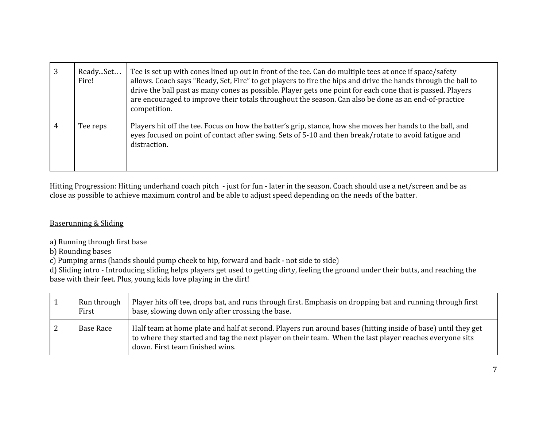| ReadySet<br>Fire! | Tee is set up with cones lined up out in front of the tee. Can do multiple tees at once if space/safety<br>allows. Coach says "Ready, Set, Fire" to get players to fire the hips and drive the hands through the ball to<br>drive the ball past as many cones as possible. Player gets one point for each cone that is passed. Players<br>are encouraged to improve their totals throughout the season. Can also be done as an end-of-practice<br>competition. |
|-------------------|----------------------------------------------------------------------------------------------------------------------------------------------------------------------------------------------------------------------------------------------------------------------------------------------------------------------------------------------------------------------------------------------------------------------------------------------------------------|
| Tee reps          | Players hit off the tee. Focus on how the batter's grip, stance, how she moves her hands to the ball, and<br>eyes focused on point of contact after swing. Sets of 5-10 and then break/rotate to avoid fatigue and<br>distraction.                                                                                                                                                                                                                             |

Hitting Progression: Hitting underhand coach pitch - just for fun - later in the season. Coach should use a net/screen and be as close as possible to achieve maximum control and be able to adjust speed depending on the needs of the batter.

#### Baserunning & Sliding

- a) Running through first base
- b) Rounding bases

c) Pumping arms (hands should pump cheek to hip, forward and back - not side to side)

d) Sliding intro - Introducing sliding helps players get used to getting dirty, feeling the ground under their butts, and reaching the base with their feet. Plus, young kids love playing in the dirt!

| Run through<br>First | Player hits off tee, drops bat, and runs through first. Emphasis on dropping bat and running through first<br>base, slowing down only after crossing the base.                                                                                             |
|----------------------|------------------------------------------------------------------------------------------------------------------------------------------------------------------------------------------------------------------------------------------------------------|
| Base Race            | Half team at home plate and half at second. Players run around bases (hitting inside of base) until they get<br>to where they started and tag the next player on their team. When the last player reaches everyone sits<br>down. First team finished wins. |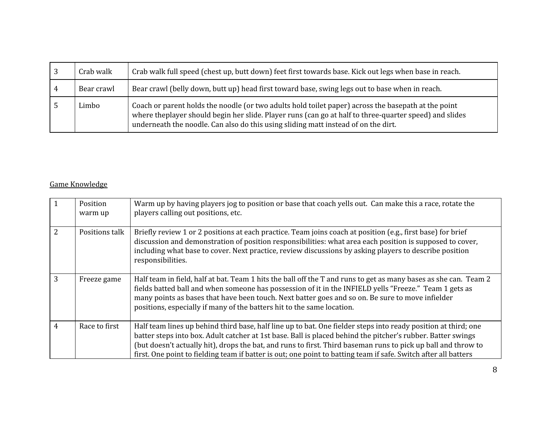| Crab walk  | Crab walk full speed (chest up, butt down) feet first towards base. Kick out legs when base in reach.                                                                                                                                                                                               |
|------------|-----------------------------------------------------------------------------------------------------------------------------------------------------------------------------------------------------------------------------------------------------------------------------------------------------|
| Bear crawl | Bear crawl (belly down, butt up) head first toward base, swing legs out to base when in reach.                                                                                                                                                                                                      |
| Limbo      | Coach or parent holds the noodle (or two adults hold toilet paper) across the basepath at the point<br>where theplayer should begin her slide. Player runs (can go at half to three-quarter speed) and slides<br>underneath the noodle. Can also do this using sliding matt instead of on the dirt. |

# Game Knowledge

|                | Position<br>warm up | Warm up by having players jog to position or base that coach yells out. Can make this a race, rotate the<br>players calling out positions, etc.                                                                                                                                                                                                                                                                                                                   |
|----------------|---------------------|-------------------------------------------------------------------------------------------------------------------------------------------------------------------------------------------------------------------------------------------------------------------------------------------------------------------------------------------------------------------------------------------------------------------------------------------------------------------|
| 2              | Positions talk      | Briefly review 1 or 2 positions at each practice. Team joins coach at position (e.g., first base) for brief<br>discussion and demonstration of position responsibilities: what area each position is supposed to cover,<br>including what base to cover. Next practice, review discussions by asking players to describe position<br>responsibilities.                                                                                                            |
| 3              | Freeze game         | Half team in field, half at bat. Team 1 hits the ball off the T and runs to get as many bases as she can. Team 2<br>fields batted ball and when someone has possession of it in the INFIELD yells "Freeze." Team 1 gets as<br>many points as bases that have been touch. Next batter goes and so on. Be sure to move infielder<br>positions, especially if many of the batters hit to the same location.                                                          |
| $\overline{4}$ | Race to first       | Half team lines up behind third base, half line up to bat. One fielder steps into ready position at third; one<br>batter steps into box. Adult catcher at 1st base. Ball is placed behind the pitcher's rubber. Batter swings<br>(but doesn't actually hit), drops the bat, and runs to first. Third baseman runs to pick up ball and throw to<br>first. One point to fielding team if batter is out; one point to batting team if safe. Switch after all batters |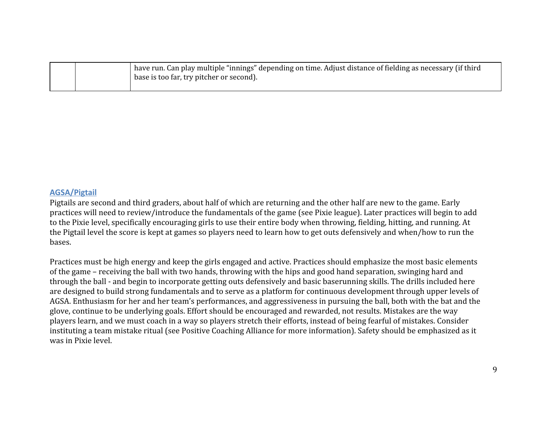|  | $_1$ have run. Can play multiple "innings" depending on time. Adjust distance of fielding as necessary (if third |
|--|------------------------------------------------------------------------------------------------------------------|
|  | base is too far, try pitcher or second).                                                                         |
|  |                                                                                                                  |

#### **AGSA/Pigtail**

Pigtails are second and third graders, about half of which are returning and the other half are new to the game. Early practices will need to review/introduce the fundamentals of the game (see Pixie league). Later practices will begin to add to the Pixie level, specifically encouraging girls to use their entire body when throwing, fielding, hitting, and running. At the Pigtail level the score is kept at games so players need to learn how to get outs defensively and when/how to run the bases.

Practices must be high energy and keep the girls engaged and active. Practices should emphasize the most basic elements of the game – receiving the ball with two hands, throwing with the hips and good hand separation, swinging hard and through the ball - and begin to incorporate getting outs defensively and basic baserunning skills. The drills included here are designed to build strong fundamentals and to serve as a platform for continuous development through upper levels of AGSA. Enthusiasm for her and her team's performances, and aggressiveness in pursuing the ball, both with the bat and the glove, continue to be underlying goals. Effort should be encouraged and rewarded, not results. Mistakes are the way players learn, and we must coach in a way so players stretch their efforts, instead of being fearful of mistakes. Consider instituting a team mistake ritual (see Positive Coaching Alliance for more information). Safety should be emphasized as it was in Pixie level.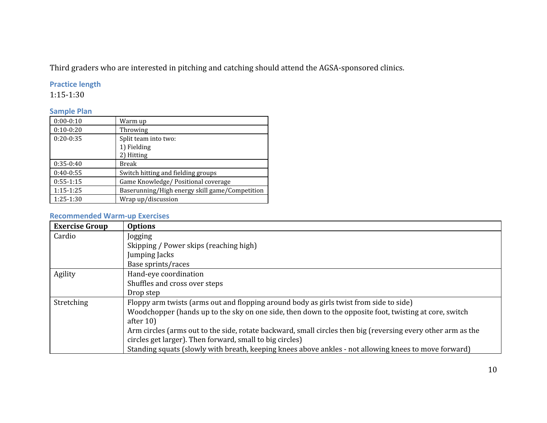Third graders who are interested in pitching and catching should attend the AGSA-sponsored clinics.

## **Practice length**

1:15-1:30

## **Sample Plan**

| $0:00-0:10$ | Warm up                                        |
|-------------|------------------------------------------------|
| $0:10-0:20$ | Throwing                                       |
| $0:20-0:35$ | Split team into two:                           |
|             | 1) Fielding                                    |
|             | 2) Hitting                                     |
| $0:35-0:40$ | Break                                          |
| $0:40-0:55$ | Switch hitting and fielding groups             |
| $0:55-1:15$ | Game Knowledge/ Positional coverage            |
| $1:15-1:25$ | Baserunning/High energy skill game/Competition |
| $1:25-1:30$ | Wrap up/discussion                             |

## **Recommended Warm-up Exercises**

| <b>Exercise Group</b> | <b>Options</b>                                                                                               |
|-----------------------|--------------------------------------------------------------------------------------------------------------|
| Cardio                | Jogging                                                                                                      |
|                       | Skipping / Power skips (reaching high)                                                                       |
|                       | Jumping Jacks                                                                                                |
|                       | Base sprints/races                                                                                           |
| Agility               | Hand-eye coordination                                                                                        |
|                       | Shuffles and cross over steps                                                                                |
|                       | Drop step                                                                                                    |
| Stretching            | Floppy arm twists (arms out and flopping around body as girls twist from side to side)                       |
|                       | Woodchopper (hands up to the sky on one side, then down to the opposite foot, twisting at core, switch       |
|                       | after $10$                                                                                                   |
|                       | Arm circles (arms out to the side, rotate backward, small circles then big (reversing every other arm as the |
|                       | circles get larger). Then forward, small to big circles)                                                     |
|                       | Standing squats (slowly with breath, keeping knees above ankles - not allowing knees to move forward)        |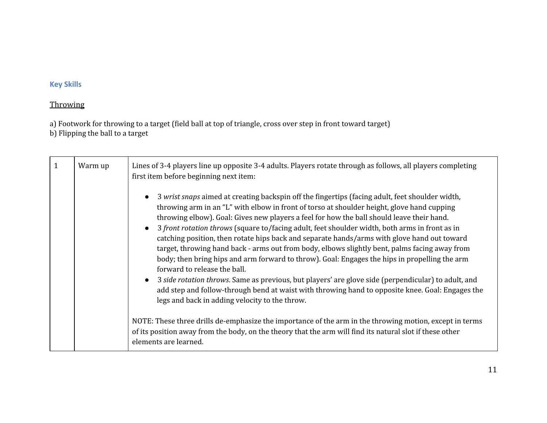# **Key Skills**

## **Throwing**

a) Footwork for throwing to a target (field ball at top of triangle, cross over step in front toward target) b) Flipping the ball to a target

| Warm up | Lines of 3-4 players line up opposite 3-4 adults. Players rotate through as follows, all players completing<br>first item before beginning next item:                                                                                                                                                                                                                                                                                                                                                                                                                                                                                                                                                                                                                                                                                                                                                                                                                                                                             |
|---------|-----------------------------------------------------------------------------------------------------------------------------------------------------------------------------------------------------------------------------------------------------------------------------------------------------------------------------------------------------------------------------------------------------------------------------------------------------------------------------------------------------------------------------------------------------------------------------------------------------------------------------------------------------------------------------------------------------------------------------------------------------------------------------------------------------------------------------------------------------------------------------------------------------------------------------------------------------------------------------------------------------------------------------------|
|         | 3 wrist snaps aimed at creating backspin off the fingertips (facing adult, feet shoulder width,<br>$\bullet$<br>throwing arm in an "L" with elbow in front of torso at shoulder height, glove hand cupping<br>throwing elbow). Goal: Gives new players a feel for how the ball should leave their hand.<br>3 front rotation throws (square to/facing adult, feet shoulder width, both arms in front as in<br>$\bullet$<br>catching position, then rotate hips back and separate hands/arms with glove hand out toward<br>target, throwing hand back - arms out from body, elbows slightly bent, palms facing away from<br>body; then bring hips and arm forward to throw). Goal: Engages the hips in propelling the arm<br>forward to release the ball.<br>3 side rotation throws. Same as previous, but players' are glove side (perpendicular) to adult, and<br>$\bullet$<br>add step and follow-through bend at waist with throwing hand to opposite knee. Goal: Engages the<br>legs and back in adding velocity to the throw. |
|         | NOTE: These three drills de-emphasize the importance of the arm in the throwing motion, except in terms<br>of its position away from the body, on the theory that the arm will find its natural slot if these other<br>elements are learned.                                                                                                                                                                                                                                                                                                                                                                                                                                                                                                                                                                                                                                                                                                                                                                                      |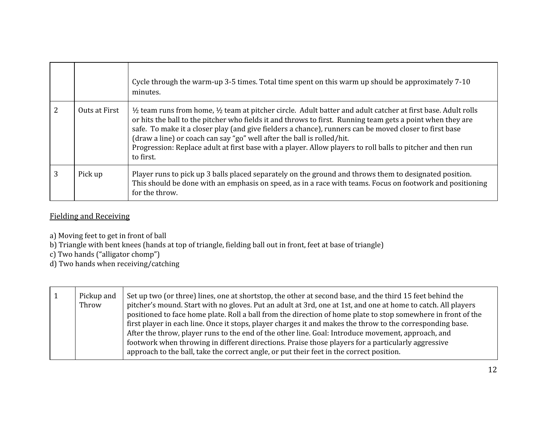|               | Cycle through the warm-up 3-5 times. Total time spent on this warm up should be approximately 7-10<br>minutes.                                                                                                                                                                                                                                                                                                                                                                                                                                                   |
|---------------|------------------------------------------------------------------------------------------------------------------------------------------------------------------------------------------------------------------------------------------------------------------------------------------------------------------------------------------------------------------------------------------------------------------------------------------------------------------------------------------------------------------------------------------------------------------|
| Outs at First | $\frac{1}{2}$ team runs from home, $\frac{1}{2}$ team at pitcher circle. Adult batter and adult catcher at first base. Adult rolls<br>or hits the ball to the pitcher who fields it and throws to first. Running team gets a point when they are<br>safe. To make it a closer play (and give fielders a chance), runners can be moved closer to first base<br>(draw a line) or coach can say "go" well after the ball is rolled/hit.<br>Progression: Replace adult at first base with a player. Allow players to roll balls to pitcher and then run<br>to first. |
| Pick up       | Player runs to pick up 3 balls placed separately on the ground and throws them to designated position.<br>This should be done with an emphasis on speed, as in a race with teams. Focus on footwork and positioning<br>for the throw.                                                                                                                                                                                                                                                                                                                            |

## Fielding and Receiving

a) Moving feet to get in front of ball

b) Triangle with bent knees (hands at top of triangle, fielding ball out in front, feet at base of triangle)

c) Two hands ("alligator chomp")

d) Two hands when receiving/catching

| $\vert 1 \vert$ | Pickup and<br>Throw | Set up two (or three) lines, one at shortstop, the other at second base, and the third 15 feet behind the<br>pitcher's mound. Start with no gloves. Put an adult at 3rd, one at 1st, and one at home to catch. All players<br>positioned to face home plate. Roll a ball from the direction of home plate to stop somewhere in front of the<br>first player in each line. Once it stops, player charges it and makes the throw to the corresponding base.<br>After the throw, player runs to the end of the other line. Goal: Introduce movement, approach, and<br>footwork when throwing in different directions. Praise those players for a particularly aggressive |
|-----------------|---------------------|-----------------------------------------------------------------------------------------------------------------------------------------------------------------------------------------------------------------------------------------------------------------------------------------------------------------------------------------------------------------------------------------------------------------------------------------------------------------------------------------------------------------------------------------------------------------------------------------------------------------------------------------------------------------------|
|                 |                     | approach to the ball, take the correct angle, or put their feet in the correct position.                                                                                                                                                                                                                                                                                                                                                                                                                                                                                                                                                                              |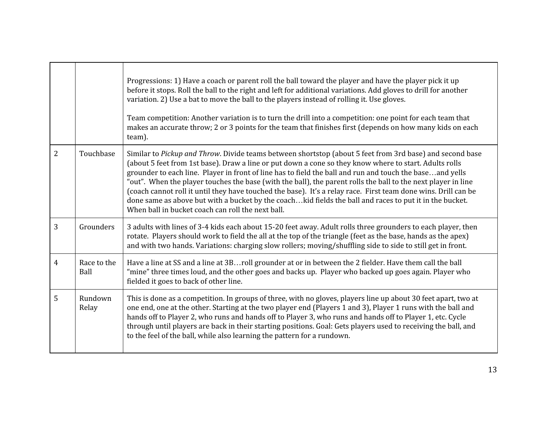|                |                     | Progressions: 1) Have a coach or parent roll the ball toward the player and have the player pick it up<br>before it stops. Roll the ball to the right and left for additional variations. Add gloves to drill for another<br>variation. 2) Use a bat to move the ball to the players instead of rolling it. Use gloves.<br>Team competition: Another variation is to turn the drill into a competition: one point for each team that<br>makes an accurate throw; 2 or 3 points for the team that finishes first (depends on how many kids on each<br>team).                                                                                                                                                                       |
|----------------|---------------------|-----------------------------------------------------------------------------------------------------------------------------------------------------------------------------------------------------------------------------------------------------------------------------------------------------------------------------------------------------------------------------------------------------------------------------------------------------------------------------------------------------------------------------------------------------------------------------------------------------------------------------------------------------------------------------------------------------------------------------------|
| $\overline{2}$ | Touchbase           | Similar to Pickup and Throw. Divide teams between shortstop (about 5 feet from 3rd base) and second base<br>(about 5 feet from 1st base). Draw a line or put down a cone so they know where to start. Adults rolls<br>grounder to each line. Player in front of line has to field the ball and run and touch the baseand yells<br>"out". When the player touches the base (with the ball), the parent rolls the ball to the next player in line<br>(coach cannot roll it until they have touched the base). It's a relay race. First team done wins. Drill can be<br>done same as above but with a bucket by the coachkid fields the ball and races to put it in the bucket.<br>When ball in bucket coach can roll the next ball. |
| 3              | Grounders           | 3 adults with lines of 3-4 kids each about 15-20 feet away. Adult rolls three grounders to each player, then<br>rotate. Players should work to field the all at the top of the triangle (feet as the base, hands as the apex)<br>and with two hands. Variations: charging slow rollers; moving/shuffling side to side to still get in front.                                                                                                                                                                                                                                                                                                                                                                                      |
| $\overline{4}$ | Race to the<br>Ball | Have a line at SS and a line at 3Broll grounder at or in between the 2 fielder. Have them call the ball<br>"mine" three times loud, and the other goes and backs up. Player who backed up goes again. Player who<br>fielded it goes to back of other line.                                                                                                                                                                                                                                                                                                                                                                                                                                                                        |
| 5              | Rundown<br>Relay    | This is done as a competition. In groups of three, with no gloves, players line up about 30 feet apart, two at<br>one end, one at the other. Starting at the two player end (Players 1 and 3), Player 1 runs with the ball and<br>hands off to Player 2, who runs and hands off to Player 3, who runs and hands off to Player 1, etc. Cycle<br>through until players are back in their starting positions. Goal: Gets players used to receiving the ball, and<br>to the feel of the ball, while also learning the pattern for a rundown.                                                                                                                                                                                          |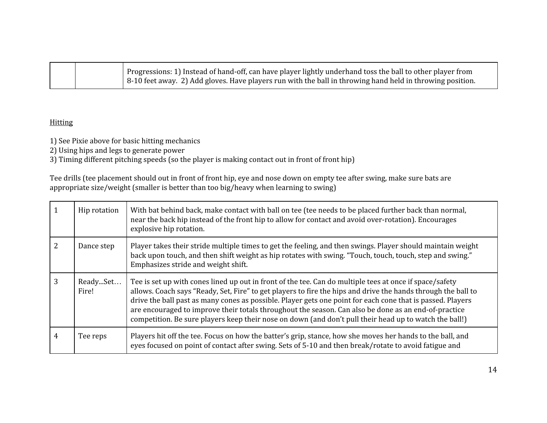|  | Progressions: 1) Instead of hand-off, can have player lightly underhand toss the ball to other player from |
|--|------------------------------------------------------------------------------------------------------------|
|  | 8-10 feet away. 2) Add gloves. Have players run with the ball in throwing hand held in throwing position.  |

### **Hitting**

1) See Pixie above for basic hitting mechanics

2) Using hips and legs to generate power

3) Timing different pitching speeds (so the player is making contact out in front of front hip)

Tee drills (tee placement should out in front of front hip, eye and nose down on empty tee after swing, make sure bats are appropriate size/weight (smaller is better than too big/heavy when learning to swing)

|   | Hip rotation      | With bat behind back, make contact with ball on tee (tee needs to be placed further back than normal,<br>near the back hip instead of the front hip to allow for contact and avoid over-rotation). Encourages<br>explosive hip rotation.                                                                                                                                                                                                                                                                                                                 |
|---|-------------------|----------------------------------------------------------------------------------------------------------------------------------------------------------------------------------------------------------------------------------------------------------------------------------------------------------------------------------------------------------------------------------------------------------------------------------------------------------------------------------------------------------------------------------------------------------|
|   | Dance step        | Player takes their stride multiple times to get the feeling, and then swings. Player should maintain weight<br>back upon touch, and then shift weight as hip rotates with swing. "Touch, touch, touch, step and swing."<br>Emphasizes stride and weight shift.                                                                                                                                                                                                                                                                                           |
|   | ReadySet<br>Fire! | Tee is set up with cones lined up out in front of the tee. Can do multiple tees at once if space/safety<br>allows. Coach says "Ready, Set, Fire" to get players to fire the hips and drive the hands through the ball to<br>drive the ball past as many cones as possible. Player gets one point for each cone that is passed. Players<br>are encouraged to improve their totals throughout the season. Can also be done as an end-of-practice<br>competition. Be sure players keep their nose on down (and don't pull their head up to watch the ball!) |
| 4 | Tee reps          | Players hit off the tee. Focus on how the batter's grip, stance, how she moves her hands to the ball, and<br>eyes focused on point of contact after swing. Sets of 5-10 and then break/rotate to avoid fatigue and                                                                                                                                                                                                                                                                                                                                       |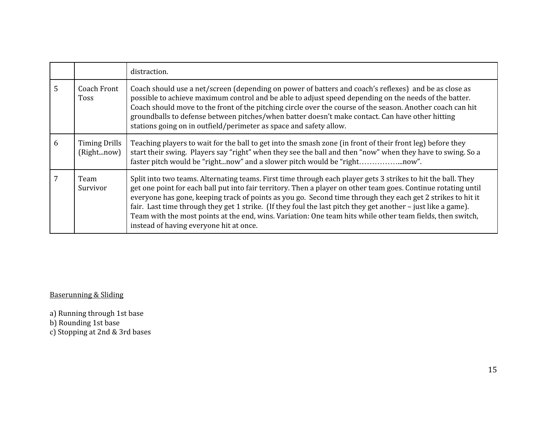|   |                                    | distraction.                                                                                                                                                                                                                                                                                                                                                                                                                                                                                                                                                                                                            |
|---|------------------------------------|-------------------------------------------------------------------------------------------------------------------------------------------------------------------------------------------------------------------------------------------------------------------------------------------------------------------------------------------------------------------------------------------------------------------------------------------------------------------------------------------------------------------------------------------------------------------------------------------------------------------------|
| 5 | <b>Coach Front</b><br>Toss         | Coach should use a net/screen (depending on power of batters and coach's reflexes) and be as close as<br>possible to achieve maximum control and be able to adjust speed depending on the needs of the batter.<br>Coach should move to the front of the pitching circle over the course of the season. Another coach can hit<br>groundballs to defense between pitches/when batter doesn't make contact. Can have other hitting<br>stations going on in outfield/perimeter as space and safety allow.                                                                                                                   |
| 6 | <b>Timing Drills</b><br>(Rightnow) | Teaching players to wait for the ball to get into the smash zone (in front of their front leg) before they<br>start their swing. Players say "right" when they see the ball and then "now" when they have to swing. So a<br>faster pitch would be "rightnow" and a slower pitch would be "rightnow".                                                                                                                                                                                                                                                                                                                    |
| 7 | Team<br>Survivor                   | Split into two teams. Alternating teams. First time through each player gets 3 strikes to hit the ball. They<br>get one point for each ball put into fair territory. Then a player on other team goes. Continue rotating until<br>everyone has gone, keeping track of points as you go. Second time through they each get 2 strikes to hit it<br>fair. Last time through they get 1 strike. (If they foul the last pitch they get another – just like a game).<br>Team with the most points at the end, wins. Variation: One team hits while other team fields, then switch,<br>instead of having everyone hit at once. |

Baserunning & Sliding

a) Running through 1st base

b) Rounding 1st base

c) Stopping at 2nd & 3rd bases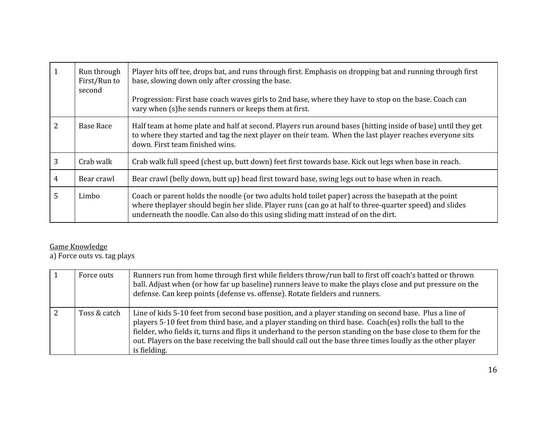| $\mathbf{1}$   | Run through<br>First/Run to<br>second | Player hits off tee, drops bat, and runs through first. Emphasis on dropping bat and running through first<br>base, slowing down only after crossing the base.<br>Progression: First base coach waves girls to 2nd base, where they have to stop on the base. Coach can<br>vary when (s) he sends runners or keeps them at first. |
|----------------|---------------------------------------|-----------------------------------------------------------------------------------------------------------------------------------------------------------------------------------------------------------------------------------------------------------------------------------------------------------------------------------|
| $\overline{2}$ | Base Race                             | Half team at home plate and half at second. Players run around bases (hitting inside of base) until they get<br>to where they started and tag the next player on their team. When the last player reaches everyone sits<br>down. First team finished wins.                                                                        |
| 3              | Crab walk                             | Crab walk full speed (chest up, butt down) feet first towards base. Kick out legs when base in reach.                                                                                                                                                                                                                             |
| $\overline{4}$ | Bear crawl                            | Bear crawl (belly down, butt up) head first toward base, swing legs out to base when in reach.                                                                                                                                                                                                                                    |
| 5              | Limbo                                 | Coach or parent holds the noodle (or two adults hold toilet paper) across the basepath at the point<br>where the player should begin her slide. Player runs (can go at half to three-quarter speed) and slides<br>underneath the noodle. Can also do this using sliding matt instead of on the dirt.                              |

### Game Knowledge

a) Force outs vs. tag plays

| Force outs   | Runners run from home through first while fielders throw/run ball to first off coach's batted or thrown<br>ball. Adjust when (or how far up baseline) runners leave to make the plays close and put pressure on the<br>defense. Can keep points (defense vs. offense). Rotate fielders and runners.                                                                                                                                                               |
|--------------|-------------------------------------------------------------------------------------------------------------------------------------------------------------------------------------------------------------------------------------------------------------------------------------------------------------------------------------------------------------------------------------------------------------------------------------------------------------------|
| Toss & catch | Line of kids 5-10 feet from second base position, and a player standing on second base. Plus a line of<br>players 5-10 feet from third base, and a player standing on third base. Coach(es) rolls the ball to the<br>fielder, who fields it, turns and flips it underhand to the person standing on the base close to them for the<br>out. Players on the base receiving the ball should call out the base three times loudly as the other player<br>is fielding. |